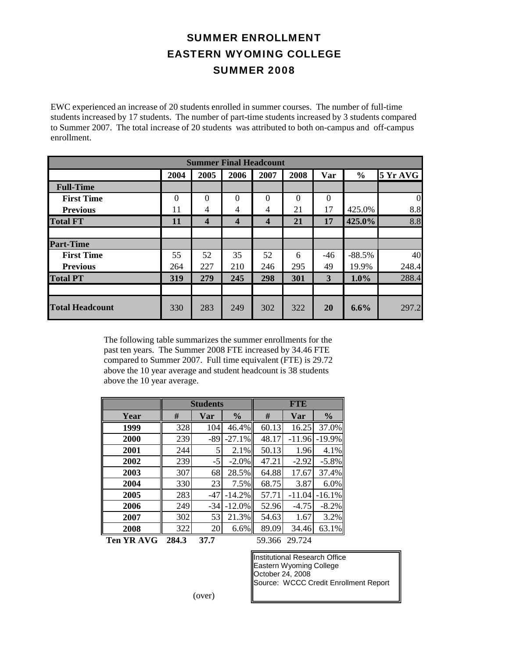## SUMMER ENROLLMENT EASTERN WYOMING COLLEGE SUMMER 2008

EWC experienced an increase of 20 students enrolled in summer courses. The number of full-time students increased by 17 students. The number of part-time students increased by 3 students compared to Summer 2007. The total increase of 20 students was attributed to both on-campus and off-campus enrollment. enrollment.

|                                                                                                                                                                                                                                                                                             |                |                         | <b>Summer Final Headcount</b> |                         |              |              |               |                 |
|---------------------------------------------------------------------------------------------------------------------------------------------------------------------------------------------------------------------------------------------------------------------------------------------|----------------|-------------------------|-------------------------------|-------------------------|--------------|--------------|---------------|-----------------|
|                                                                                                                                                                                                                                                                                             | 2004           | 2005                    | 2006                          | 2007                    | 2008         | Var          | $\frac{0}{0}$ | <b>5 Yr AVG</b> |
| <b>Full-Time</b>                                                                                                                                                                                                                                                                            |                |                         |                               |                         |              |              |               |                 |
| <b>First Time</b>                                                                                                                                                                                                                                                                           | $\overline{0}$ | $\Omega$                | $\Omega$                      | $\overline{0}$          | $\mathbf{0}$ | $\theta$     |               | $\theta$        |
| <b>Previous</b>                                                                                                                                                                                                                                                                             | 11             | 4                       | 4                             | $\overline{4}$          | 21           | 17           | 425.0%        | 8.8             |
| <b>Total FT</b>                                                                                                                                                                                                                                                                             | 11             | $\overline{\mathbf{4}}$ | $\overline{\mathbf{4}}$       | $\overline{\mathbf{4}}$ | 21           | 17           | 425.0%        | 8.8             |
|                                                                                                                                                                                                                                                                                             |                |                         |                               |                         |              |              |               |                 |
| <b>Part-Time</b>                                                                                                                                                                                                                                                                            |                |                         |                               |                         |              |              |               |                 |
| <b>First Time</b>                                                                                                                                                                                                                                                                           | 55             | 52                      | 35                            | 52                      | 6            | $-46$        | $-88.5%$      | 40              |
| <b>Previous</b>                                                                                                                                                                                                                                                                             | 264            | 227                     | 210                           | 246                     | 295          | 49           | 19.9%         | 248.4           |
| <b>Total PT</b>                                                                                                                                                                                                                                                                             | 319            | 279                     | 245                           | 298                     | 301          | $\mathbf{3}$ | 1.0%          | 288.4           |
|                                                                                                                                                                                                                                                                                             |                |                         |                               |                         |              |              |               |                 |
| <b>Total Headcount</b>                                                                                                                                                                                                                                                                      | 330            | 283                     | 249                           | 302                     | 322          | 20           | 6.6%          | 297.2           |
| The following table summarizes the summer enrollments for the<br>past ten years. The Summer 2008 FTE increased by 34.46 FTE<br>compared to Summer 2007. Full time equivalent (FTE) is 29.72<br>above the 10 year average and student headcount is 38 students<br>above the 10 year average. |                |                         |                               |                         |              |              |               |                 |

|                   |       | <b>Students</b> |               | <b>FTE</b> |          |               |  |
|-------------------|-------|-----------------|---------------|------------|----------|---------------|--|
| Year              | #     | Var             | $\frac{0}{0}$ | #          | Var      | $\frac{0}{0}$ |  |
| 1999              | 328   | 104             | 46.4%         | 60.13      | 16.25    | 37.0%         |  |
| 2000              | 239   | -89             | $-27.1%$      | 48.17      | $-11.96$ | $-19.9%$      |  |
| 2001              | 244   | 5               | 2.1%          | 50.13      | 1.96     | 4.1%          |  |
| 2002              | 239   | $-5$            | $-2.0\%$      | 47.21      | $-2.92$  | $-5.8\%$      |  |
| 2003              | 307   | 68              | 28.5%         | 64.88      | 17.67    | 37.4%         |  |
| 2004              | 330   | 23              | 7.5%          | 68.75      | 3.87     | 6.0%          |  |
| 2005              | 283   | -47             | $-14.2%$      | 57.71      | $-11.04$ | $-16.1%$      |  |
| 2006              | 249   | $-34$           | $-12.0%$      | 52.96      | $-4.75$  | $-8.2%$       |  |
| 2007              | 302   | 53              | 21.3%         | 54.63      | 1.67     | 3.2%          |  |
| 2008              | 322   | 20              | 6.6%          | 89.09      | 34.46    | 63.1%         |  |
| <b>Ten YR AVG</b> | 284.3 | 37.7            |               | 59.366     | 29.724   |               |  |

Institutional Research Office Eastern Wyoming College October 24, 2008 Source: WCCC Credit Enrollment Report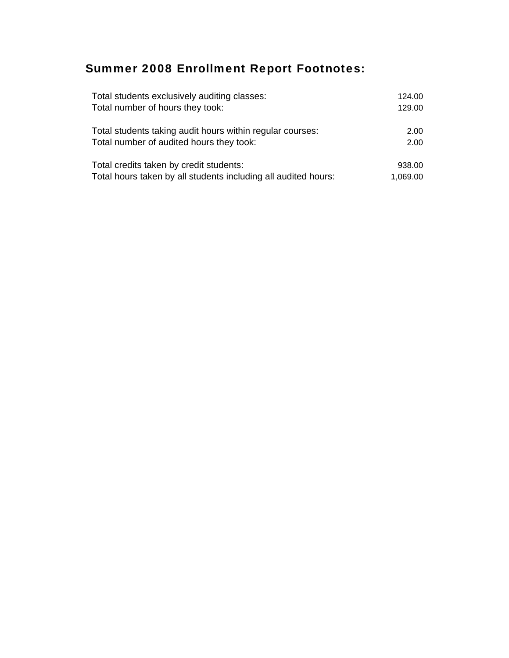## Summer 2008 Enrollment Report Footnotes:

| Total students exclusively auditing classes:                   | 124.00   |
|----------------------------------------------------------------|----------|
| Total number of hours they took:                               | 129.00   |
| Total students taking audit hours within regular courses:      | 2.00     |
| Total number of audited hours they took:                       | 2.00     |
| Total credits taken by credit students:                        | 938.00   |
| Total hours taken by all students including all audited hours: | 1,069.00 |